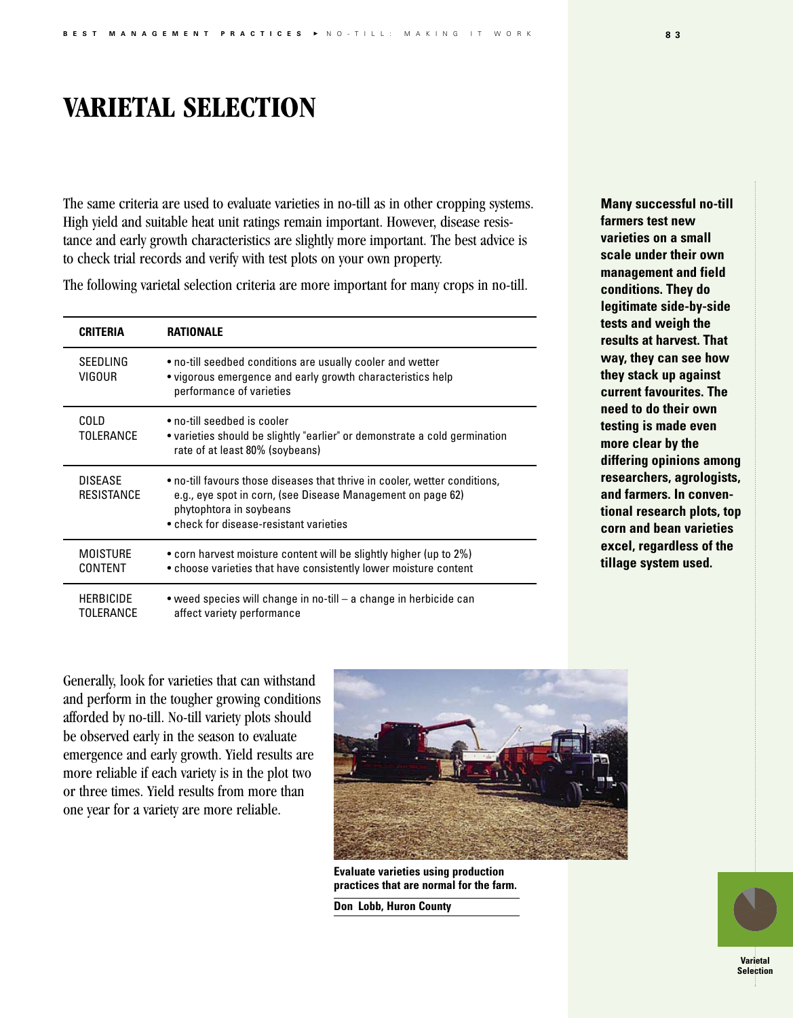## **VARIETAL SELECTION**

The same criteria are used to evaluate varieties in no-till as in other cropping systems. High yield and suitable heat unit ratings remain important. However, disease resistance and early growth characteristics are slightly more important. The best advice is to check trial records and verify with test plots on your own property.

The following varietal selection criteria are more important for many crops in no-till.

| <b>CRITERIA</b>                     | RATIONALE                                                                                                                                                                                                       |
|-------------------------------------|-----------------------------------------------------------------------------------------------------------------------------------------------------------------------------------------------------------------|
| SEEDLING<br>VIGOUR                  | • no-till seedbed conditions are usually cooler and wetter<br>• vigorous emergence and early growth characteristics help<br>performance of varieties                                                            |
| COLD<br>TOLERANCE                   | • no-till seedbed is cooler<br>• varieties should be slightly "earlier" or demonstrate a cold germination<br>rate of at least 80% (soybeans)                                                                    |
| <b>DISFASE</b><br><b>RESISTANCE</b> | . no-till favours those diseases that thrive in cooler, wetter conditions,<br>e.g., eye spot in corn, (see Disease Management on page 62)<br>phytophtora in soybeans<br>• check for disease-resistant varieties |
| <b>MOISTURE</b><br>CONTENT          | • corn harvest moisture content will be slightly higher (up to 2%)<br>• choose varieties that have consistently lower moisture content                                                                          |
| <b>HERBICIDE</b><br>TOLERANCE       | • weed species will change in no-till – a change in herbicide can<br>affect variety performance                                                                                                                 |

**Many successful no-till farmers test new varieties on a small scale under their own management and field conditions. They do legitimate side-by-side tests and weigh the results at harvest. That way, they can see how they stack up against current favourites. The need to do their own testing is made even more clear by the differing opinions among researchers, agrologists, and farmers. In conventional research plots, top corn and bean varieties excel, regardless of the tillage system used.**

Generally, look for varieties that can withstand and perform in the tougher growing conditions afforded by no-till. No-till variety plots should be observed early in the season to evaluate emergence and early growth. Yield results are more reliable if each variety is in the plot two or three times. Yield results from more than one year for a variety are more reliable.



**Evaluate varieties using production practices that are normal for the farm.**

**Don Lobb, Huron County**